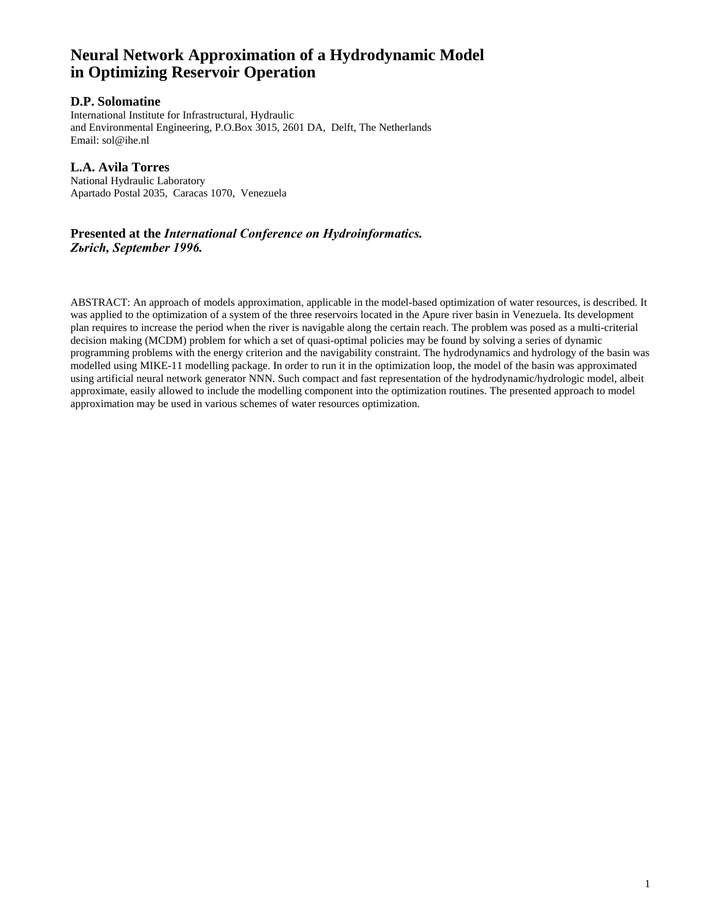# **Neural Network Approximation of a Hydrodynamic Model in Optimizing Reservoir Operation**

# **D.P. Solomatine**

International Institute for Infrastructural, Hydraulic and Environmental Engineering, P.O.Box 3015, 2601 DA, Delft, The Netherlands Email: sol@ihe.nl

# **L.A. Avila Torres**

National Hydraulic Laboratory Apartado Postal 2035, Caracas 1070, Venezuela

# **Presented at the** *International Conference on Hydroinformatics. Zьrich, September 1996.*

ABSTRACT: An approach of models approximation, applicable in the model-based optimization of water resources, is described. It was applied to the optimization of a system of the three reservoirs located in the Apure river basin in Venezuela. Its development plan requires to increase the period when the river is navigable along the certain reach. The problem was posed as a multi-criterial decision making (MCDM) problem for which a set of quasi-optimal policies may be found by solving a series of dynamic programming problems with the energy criterion and the navigability constraint. The hydrodynamics and hydrology of the basin was modelled using MIKE-11 modelling package. In order to run it in the optimization loop, the model of the basin was approximated using artificial neural network generator NNN. Such compact and fast representation of the hydrodynamic/hydrologic model, albeit approximate, easily allowed to include the modelling component into the optimization routines. The presented approach to model approximation may be used in various schemes of water resources optimization.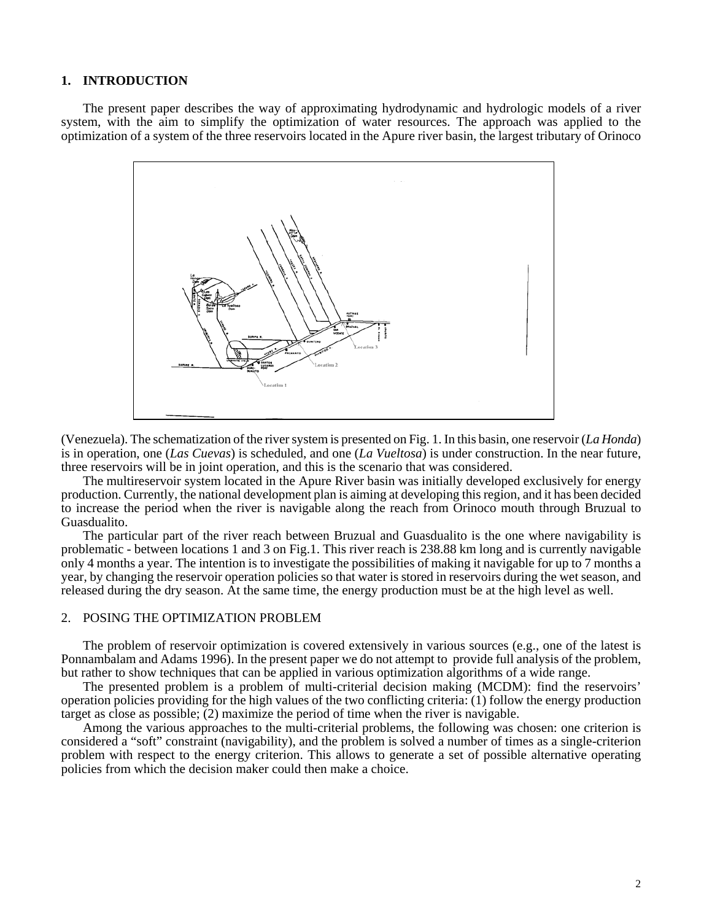#### **1. INTRODUCTION**

The present paper describes the way of approximating hydrodynamic and hydrologic models of a river system, with the aim to simplify the optimization of water resources. The approach was applied to the optimization of a system of the three reservoirs located in the Apure river basin, the largest tributary of Orinoco



(Venezuela). The schematization of the river system is presented on Fig. 1. In this basin, one reservoir (*La Honda*) is in operation, one (*Las Cuevas*) is scheduled, and one (*La Vueltosa*) is under construction. In the near future, three reservoirs will be in joint operation, and this is the scenario that was considered.

The multireservoir system located in the Apure River basin was initially developed exclusively for energy production. Currently, the national development plan is aiming at developing this region, and it has been decided to increase the period when the river is navigable along the reach from Orinoco mouth through Bruzual to Guasdualito.

The particular part of the river reach between Bruzual and Guasdualito is the one where navigability is problematic - between locations 1 and 3 on Fig.1. This river reach is 238.88 km long and is currently navigable only 4 months a year. The intention is to investigate the possibilities of making it navigable for up to 7 months a year, by changing the reservoir operation policies so that water is stored in reservoirs during the wet season, and released during the dry season. At the same time, the energy production must be at the high level as well.

#### 2. POSING THE OPTIMIZATION PROBLEM

The problem of reservoir optimization is covered extensively in various sources (e.g., one of the latest is Ponnambalam and Adams 1996). In the present paper we do not attempt to provide full analysis of the problem, but rather to show techniques that can be applied in various optimization algorithms of a wide range.

The presented problem is a problem of multi-criterial decision making (MCDM): find the reservoirs' operation policies providing for the high values of the two conflicting criteria: (1) follow the energy production target as close as possible; (2) maximize the period of time when the river is navigable.

Among the various approaches to the multi-criterial problems, the following was chosen: one criterion is considered a "soft" constraint (navigability), and the problem is solved a number of times as a single-criterion problem with respect to the energy criterion. This allows to generate a set of possible alternative operating policies from which the decision maker could then make a choice.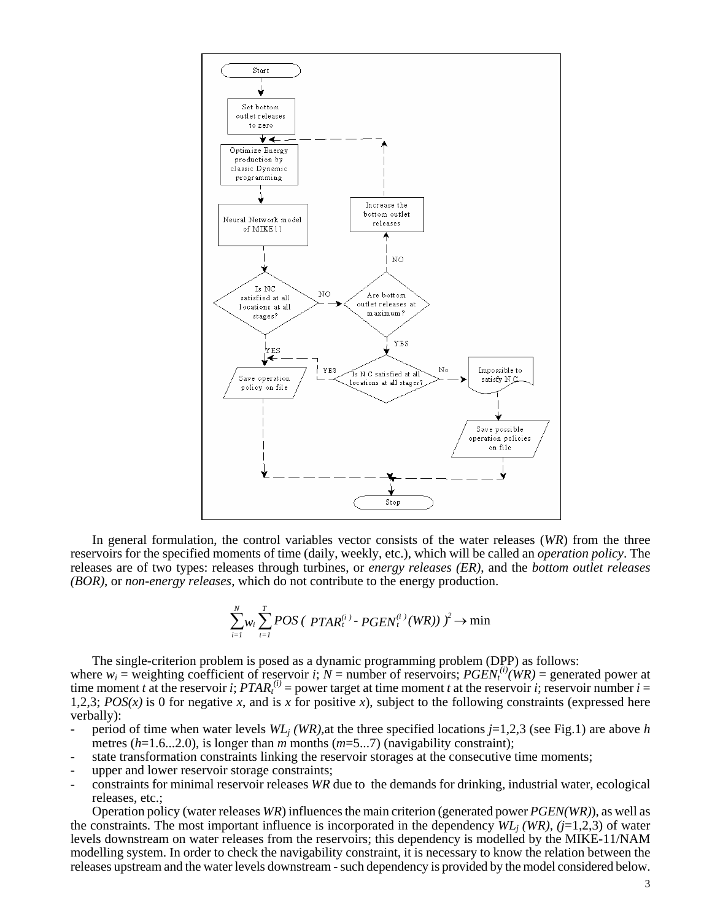

In general formulation, the control variables vector consists of the water releases (*WR*) from the three reservoirs for the specified moments of time (daily, weekly, etc.), which will be called an *operation policy*. The releases are of two types: releases through turbines, or *energy releases (ER)*, and the *bottom outlet releases (BOR)*, or *non-energy releases*, which do not contribute to the energy production.

$$
\sum_{i=1}^{N} w_i \sum_{t=1}^{T} POS \left( \text{ } PTAR_t^{(i)} \text{ } \text{ } \text{ } PGEN_t^{(i)} \text{ } (WR) \text{ } \right) \text{ } \right) \rightarrow \min
$$

The single-criterion problem is posed as a dynamic programming problem (DPP) as follows: where  $w_i$  = weighting coefficient of reservoir *i*;  $N =$  number of reservoirs;  $PGEN_t^{(i)}(WR) =$  generated power at time moment *t* at the reservoir *i*;  $PTAR<sub>t</sub><sup>(i)</sup>$  = power target at time moment *t* at the reservoir *i*; reservoir number *i* = 1,2,3; *POS(x)* is 0 for negative *x*, and is *x* for positive *x*), subject to the following constraints (expressed here verbally):

- period of time when water levels *WLj (WR),*at the three specified locations *j*=1,2,3 (see Fig.1) are above *h* metres (*h*=1.6...2.0), is longer than *m* months (*m*=5...7) (navigability constraint);
- state transformation constraints linking the reservoir storages at the consecutive time moments;
- upper and lower reservoir storage constraints;
- constraints for minimal reservoir releases *WR* due to the demands for drinking, industrial water, ecological releases, etc.;

Operation policy (water releases *WR*) influences the main criterion (generated power *PGEN(WR)*), as well as the constraints. The most important influence is incorporated in the dependency  $WL_i(WR)$ , ( $j=1,2,3$ ) of water levels downstream on water releases from the reservoirs; this dependency is modelled by the MIKE-11/NAM modelling system. In order to check the navigability constraint, it is necessary to know the relation between the releases upstream and the water levels downstream - such dependency is provided by the model considered below.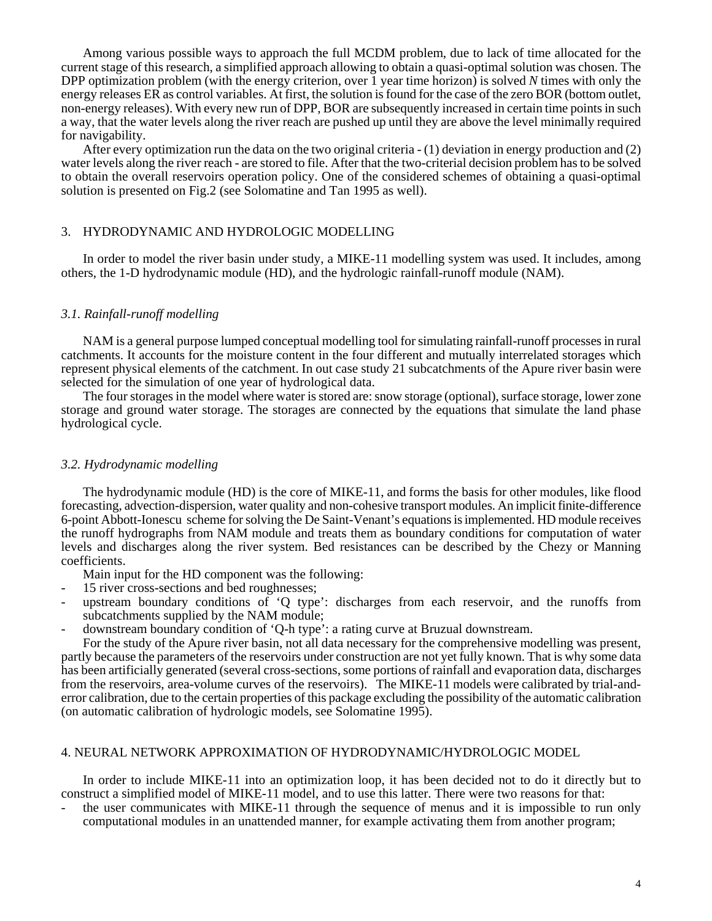Among various possible ways to approach the full MCDM problem, due to lack of time allocated for the current stage of this research, a simplified approach allowing to obtain a quasi-optimal solution was chosen. The DPP optimization problem (with the energy criterion, over 1 year time horizon) is solved *N* times with only the energy releases ER as control variables. At first, the solution is found for the case of the zero BOR (bottom outlet, non-energy releases). With every new run of DPP, BOR are subsequently increased in certain time points in such a way, that the water levels along the river reach are pushed up until they are above the level minimally required for navigability.

After every optimization run the data on the two original criteria - (1) deviation in energy production and (2) water levels along the river reach - are stored to file. After that the two-criterial decision problem has to be solved to obtain the overall reservoirs operation policy. One of the considered schemes of obtaining a quasi-optimal solution is presented on Fig.2 (see Solomatine and Tan 1995 as well).

## 3. HYDRODYNAMIC AND HYDROLOGIC MODELLING

In order to model the river basin under study, a MIKE-11 modelling system was used. It includes, among others, the 1-D hydrodynamic module (HD), and the hydrologic rainfall-runoff module (NAM).

#### *3.1. Rainfall-runoff modelling*

NAM is a general purpose lumped conceptual modelling tool for simulating rainfall-runoff processes in rural catchments. It accounts for the moisture content in the four different and mutually interrelated storages which represent physical elements of the catchment. In out case study 21 subcatchments of the Apure river basin were selected for the simulation of one year of hydrological data.

The four storages in the model where water is stored are: snow storage (optional), surface storage, lower zone storage and ground water storage. The storages are connected by the equations that simulate the land phase hydrological cycle.

#### *3.2. Hydrodynamic modelling*

The hydrodynamic module (HD) is the core of MIKE-11, and forms the basis for other modules, like flood forecasting, advection-dispersion, water quality and non-cohesive transport modules. An implicit finite-difference 6-point Abbott-Ionescu scheme for solving the De Saint-Venant's equations is implemented. HD module receives the runoff hydrographs from NAM module and treats them as boundary conditions for computation of water levels and discharges along the river system. Bed resistances can be described by the Chezy or Manning coefficients.

Main input for the HD component was the following:

- 15 river cross-sections and bed roughnesses;
- upstream boundary conditions of 'Q type': discharges from each reservoir, and the runoffs from subcatchments supplied by the NAM module;
- downstream boundary condition of 'Q-h type': a rating curve at Bruzual downstream.

For the study of the Apure river basin, not all data necessary for the comprehensive modelling was present, partly because the parameters of the reservoirs under construction are not yet fully known. That is why some data has been artificially generated (several cross-sections, some portions of rainfall and evaporation data, discharges from the reservoirs, area-volume curves of the reservoirs). The MIKE-11 models were calibrated by trial-anderror calibration, due to the certain properties of this package excluding the possibility of the automatic calibration (on automatic calibration of hydrologic models, see Solomatine 1995).

#### 4. NEURAL NETWORK APPROXIMATION OF HYDRODYNAMIC/HYDROLOGIC MODEL

In order to include MIKE-11 into an optimization loop, it has been decided not to do it directly but to construct a simplified model of MIKE-11 model, and to use this latter. There were two reasons for that:

the user communicates with MIKE-11 through the sequence of menus and it is impossible to run only computational modules in an unattended manner, for example activating them from another program;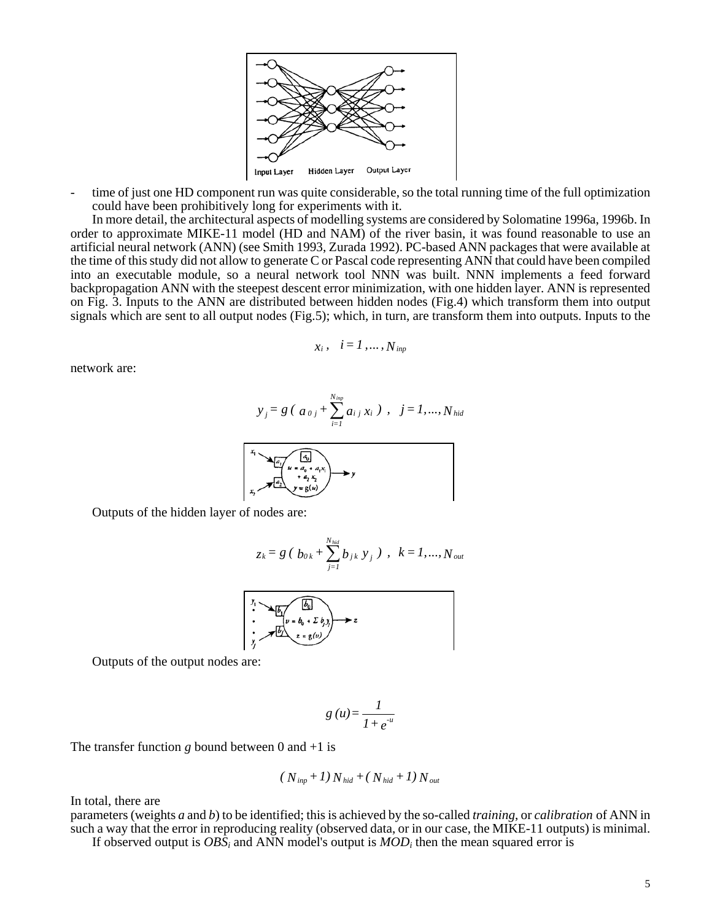

- time of just one HD component run was quite considerable, so the total running time of the full optimization could have been prohibitively long for experiments with it.

In more detail, the architectural aspects of modelling systems are considered by Solomatine 1996a, 1996b. In order to approximate MIKE-11 model (HD and NAM) of the river basin, it was found reasonable to use an artificial neural network (ANN) (see Smith 1993, Zurada 1992). PC-based ANN packages that were available at the time of this study did not allow to generate C or Pascal code representing ANN that could have been compiled into an executable module, so a neural network tool NNN was built. NNN implements a feed forward backpropagation ANN with the steepest descent error minimization, with one hidden layer. ANN is represented on Fig. 3. Inputs to the ANN are distributed between hidden nodes (Fig.4) which transform them into output signals which are sent to all output nodes (Fig.5); which, in turn, are transform them into outputs. Inputs to the

$$
x_i, \quad i=1,\ldots,N_{inp}
$$

network are:

$$
y_j = g (a_{0j} + \sum_{i=1}^{N_{imp}} a_{i j} x_i), j = 1,...,N_{hid}
$$



Outputs of the hidden layer of nodes are:

$$
z_k = g (b_{0k} + \sum_{j=1}^{N_{hid}} b_{jk} y_j), \ \ k = 1, ..., N_{out}
$$

$$
\begin{array}{ccc}\nY_1 & & \xrightarrow{f_1} & & \xrightarrow{f_2} & & \xrightarrow{f_3} \\
\vdots & & & & & & \\
Y_1 & & & & & & \\
Y_2 & & & & & & \\
Y_3 & & & & & & \\
\end{array}
$$

Outputs of the output nodes are:

$$
g\left(u\right) = \frac{1}{1 + e^{-u}}
$$

The transfer function  $g$  bound between 0 and  $+1$  is

$$
(N_{inp} + 1)N_{hid} + (N_{hid} + 1)N_{out}
$$

In total, there are

parameters (weights *a* and *b*) to be identified; this is achieved by the so-called *training*, or *calibration* of ANN in such a way that the error in reproducing reality (observed data, or in our case, the MIKE-11 outputs) is minimal.

If observed output is *OBSi* and ANN model's output is *MODi* then the mean squared error is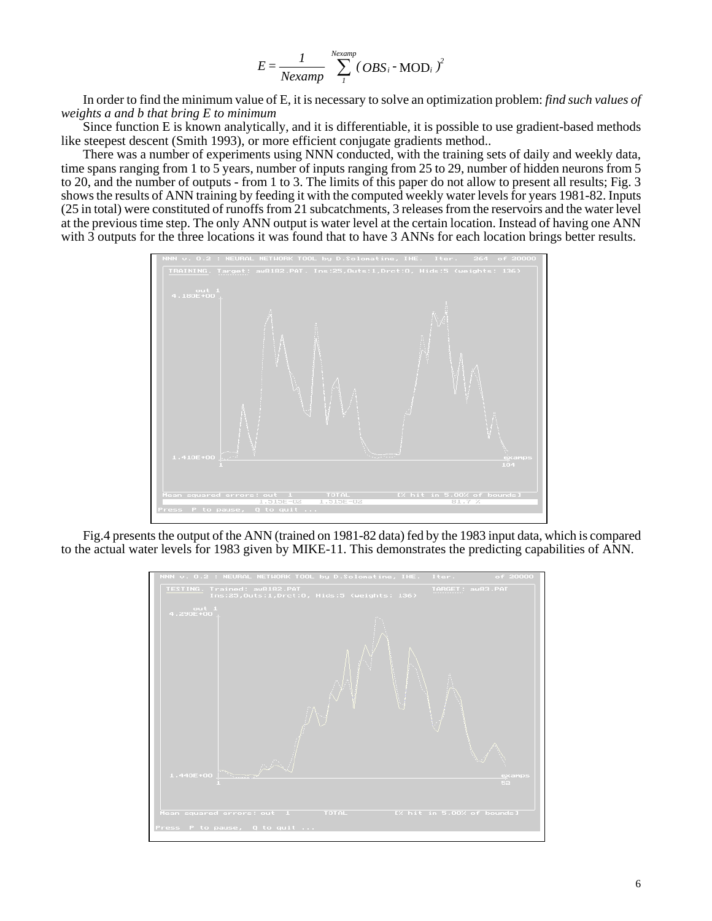$$
E = \frac{1}{Nexamp} \sum_{i}^{Nexamp} (OBS_i - MOD_i)^2
$$

In order to find the minimum value of E, it is necessary to solve an optimization problem: *find such values of weights a and b that bring E to minimum*

Since function E is known analytically, and it is differentiable, it is possible to use gradient-based methods like steepest descent (Smith 1993), or more efficient conjugate gradients method..

There was a number of experiments using NNN conducted, with the training sets of daily and weekly data, time spans ranging from 1 to 5 years, number of inputs ranging from 25 to 29, number of hidden neurons from 5 to 20, and the number of outputs - from 1 to 3. The limits of this paper do not allow to present all results; Fig. 3 shows the results of ANN training by feeding it with the computed weekly water levels for years 1981-82. Inputs (25 in total) were constituted of runoffs from 21 subcatchments, 3 releases from the reservoirs and the water level at the previous time step. The only ANN output is water level at the certain location. Instead of having one ANN with 3 outputs for the three locations it was found that to have 3 ANNs for each location brings better results.



Fig.4 presents the output of the ANN (trained on 1981-82 data) fed by the 1983 input data, which is compared to the actual water levels for 1983 given by MIKE-11. This demonstrates the predicting capabilities of ANN.

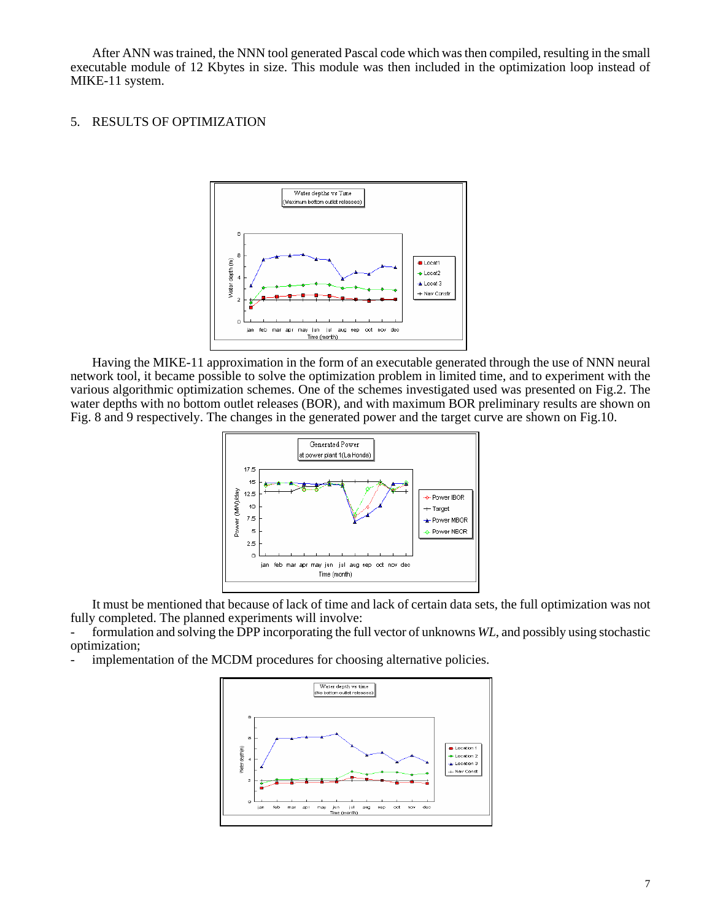After ANN was trained, the NNN tool generated Pascal code which was then compiled, resulting in the small executable module of 12 Kbytes in size. This module was then included in the optimization loop instead of MIKE-11 system.

## 5. RESULTS OF OPTIMIZATION



Having the MIKE-11 approximation in the form of an executable generated through the use of NNN neural network tool, it became possible to solve the optimization problem in limited time, and to experiment with the various algorithmic optimization schemes. One of the schemes investigated used was presented on Fig.2. The water depths with no bottom outlet releases (BOR), and with maximum BOR preliminary results are shown on Fig. 8 and 9 respectively. The changes in the generated power and the target curve are shown on Fig.10.



It must be mentioned that because of lack of time and lack of certain data sets, the full optimization was not fully completed. The planned experiments will involve:

formulation and solving the DPP incorporating the full vector of unknowns *WL*, and possibly using stochastic optimization;

implementation of the MCDM procedures for choosing alternative policies.